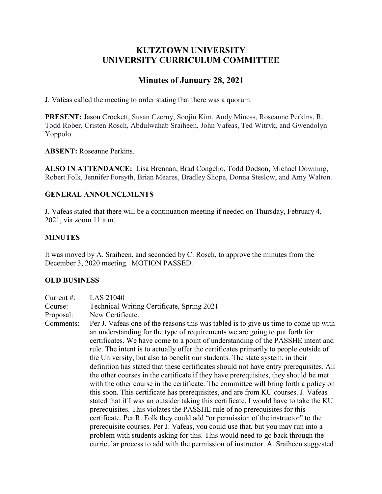# **KUTZTOWN UNIVERSITY UNIVERSITY CURRICULUM COMMITTEE**

# **Minutes of January 28, 2021**

J. Vafeas called the meeting to order stating that there was a quorum.

**PRESENT:** Jason Crockett, Susan Czerny, Soojin Kim, Andy Miness, Roseanne Perkins, R. Todd Rober, Cristen Rosch, Abdulwahab Sraiheen, John Vafeas, Ted Witryk, and Gwendolyn Yoppolo.

## **ABSENT:** Roseanne Perkins.

**ALSO IN ATTENDANCE:** Lisa Brennan, Brad Congelio, Todd Dodson, Michael Downing, Robert Folk, Jennifer Forsyth, Brian Meares, Bradley Shope, Donna Steslow, and Amy Walton.

### **GENERAL ANNOUNCEMENTS**

J. Vafeas stated that there will be a continuation meeting if needed on Thursday, February 4, 2021, via zoom 11 a.m.

### **MINUTES**

It was moved by A. Sraiheen, and seconded by C. Rosch, to approve the minutes from the December 3, 2020 meeting. MOTION PASSED.

#### **OLD BUSINESS**

| Current $#$ : | LAS 21040                                                                                                                                                                                                                                                                                                                                                                                                                                                                                                                                                                                                                                                                                                                                                                                                                                                                                                                                                                                                                                                                                                                                                                                                                                                                                                         |
|---------------|-------------------------------------------------------------------------------------------------------------------------------------------------------------------------------------------------------------------------------------------------------------------------------------------------------------------------------------------------------------------------------------------------------------------------------------------------------------------------------------------------------------------------------------------------------------------------------------------------------------------------------------------------------------------------------------------------------------------------------------------------------------------------------------------------------------------------------------------------------------------------------------------------------------------------------------------------------------------------------------------------------------------------------------------------------------------------------------------------------------------------------------------------------------------------------------------------------------------------------------------------------------------------------------------------------------------|
| Course:       | Technical Writing Certificate, Spring 2021                                                                                                                                                                                                                                                                                                                                                                                                                                                                                                                                                                                                                                                                                                                                                                                                                                                                                                                                                                                                                                                                                                                                                                                                                                                                        |
| Proposal:     | New Certificate.                                                                                                                                                                                                                                                                                                                                                                                                                                                                                                                                                                                                                                                                                                                                                                                                                                                                                                                                                                                                                                                                                                                                                                                                                                                                                                  |
| Comments:     | Per J. Vafeas one of the reasons this was tabled is to give us time to come up with<br>an understanding for the type of requirements we are going to put forth for<br>certificates. We have come to a point of understanding of the PASSHE intent and<br>rule. The intent is to actually offer the certificates primarily to people outside of<br>the University, but also to benefit our students. The state system, in their<br>definition has stated that these certificates should not have entry prerequisites. All<br>the other courses in the certificate if they have prerequisites, they should be met<br>with the other course in the certificate. The committee will bring forth a policy on<br>this soon. This certificate has prerequisites, and are from KU courses. J. Vafeas<br>stated that if I was an outsider taking this certificate, I would have to take the KU<br>prerequisites. This violates the PASSHE rule of no prerequisites for this<br>certificate. Per R. Folk they could add "or permission of the instructor" to the<br>prerequisite courses. Per J. Vafeas, you could use that, but you may run into a<br>problem with students asking for this. This would need to go back through the<br>curricular process to add with the permission of instructor. A. Straiheen suggested |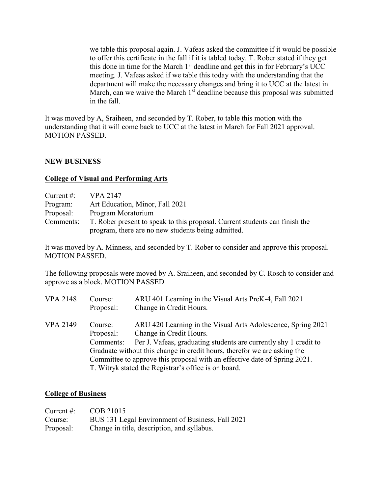we table this proposal again. J. Vafeas asked the committee if it would be possible to offer this certificate in the fall if it is tabled today. T. Rober stated if they get this done in time for the March 1<sup>st</sup> deadline and get this in for February's UCC meeting. J. Vafeas asked if we table this today with the understanding that the department will make the necessary changes and bring it to UCC at the latest in March, can we waive the March  $1<sup>st</sup>$  deadline because this proposal was submitted in the fall.

It was moved by A, Sraiheen, and seconded by T. Rober, to table this motion with the understanding that it will come back to UCC at the latest in March for Fall 2021 approval. MOTION PASSED.

### **NEW BUSINESS**

#### **College of Visual and Performing Arts**

| Current $\#$ : | VPA 2147                                                                    |
|----------------|-----------------------------------------------------------------------------|
| Program:       | Art Education, Minor, Fall 2021                                             |
| Proposal:      | Program Moratorium                                                          |
| Comments:      | T. Rober present to speak to this proposal. Current students can finish the |
|                | program, there are no new students being admitted.                          |

It was moved by A. Minness, and seconded by T. Rober to consider and approve this proposal. MOTION PASSED.

The following proposals were moved by A. Sraiheen, and seconded by C. Rosch to consider and approve as a block. MOTION PASSED

| <b>VPA 2148</b> | Course:   | ARU 401 Learning in the Visual Arts PreK-4, Fall 2021                     |
|-----------------|-----------|---------------------------------------------------------------------------|
|                 | Proposal: | Change in Credit Hours.                                                   |
| <b>VPA 2149</b> | Course:   | ARU 420 Learning in the Visual Arts Adolescence, Spring 2021              |
|                 | Proposal: | Change in Credit Hours.                                                   |
|                 | Comments: | Per J. Vafeas, graduating students are currently shy 1 credit to          |
|                 |           | Graduate without this change in credit hours, therefor we are asking the  |
|                 |           | Committee to approve this proposal with an effective date of Spring 2021. |
|                 |           | T. Witryk stated the Registrar's office is on board.                      |

#### **College of Business**

| Current $\#$ : | COB 21015                                        |
|----------------|--------------------------------------------------|
| Course:        | BUS 131 Legal Environment of Business, Fall 2021 |
| Proposal:      | Change in title, description, and syllabus.      |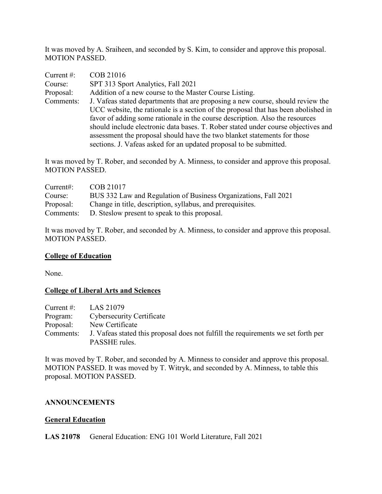It was moved by A. Sraiheen, and seconded by S. Kim, to consider and approve this proposal. MOTION PASSED.

| Current#: | COB 21016                                                                                                                                                                                                                                                                                                                                                                                                                                                                                    |
|-----------|----------------------------------------------------------------------------------------------------------------------------------------------------------------------------------------------------------------------------------------------------------------------------------------------------------------------------------------------------------------------------------------------------------------------------------------------------------------------------------------------|
| Course:   | SPT 313 Sport Analytics, Fall 2021                                                                                                                                                                                                                                                                                                                                                                                                                                                           |
| Proposal: | Addition of a new course to the Master Course Listing.                                                                                                                                                                                                                                                                                                                                                                                                                                       |
| Comments: | J. Vafeas stated departments that are proposing a new course, should review the<br>UCC website, the rationale is a section of the proposal that has been abolished in<br>favor of adding some rationale in the course description. Also the resources<br>should include electronic data bases. T. Rober stated under course objectives and<br>assessment the proposal should have the two blanket statements for those<br>sections. J. Vafeas asked for an updated proposal to be submitted. |

It was moved by T. Rober, and seconded by A. Minness, to consider and approve this proposal. MOTION PASSED.

| Current:  | COB 21017                                                       |
|-----------|-----------------------------------------------------------------|
| Course:   | BUS 332 Law and Regulation of Business Organizations, Fall 2021 |
| Proposal: | Change in title, description, syllabus, and prerequisites.      |
| Comments: | D. Steslow present to speak to this proposal.                   |

It was moved by T. Rober, and seconded by A. Minness, to consider and approve this proposal. MOTION PASSED.

#### **College of Education**

None.

#### **College of Liberal Arts and Sciences**

|          | Current #: $LAS 21079$                                                                      |
|----------|---------------------------------------------------------------------------------------------|
| Program: | Cybersecurity Certificate                                                                   |
|          | Proposal: New Certificate                                                                   |
|          | Comments: J. Vafeas stated this proposal does not fulfill the requirements we set forth per |
|          | PASSHE rules.                                                                               |

It was moved by T. Rober, and seconded by A. Minness to consider and approve this proposal. MOTION PASSED. It was moved by T. Witryk, and seconded by A. Minness, to table this proposal. MOTION PASSED.

#### **ANNOUNCEMENTS**

#### **General Education**

**LAS 21078** General Education: ENG 101 World Literature, Fall 2021